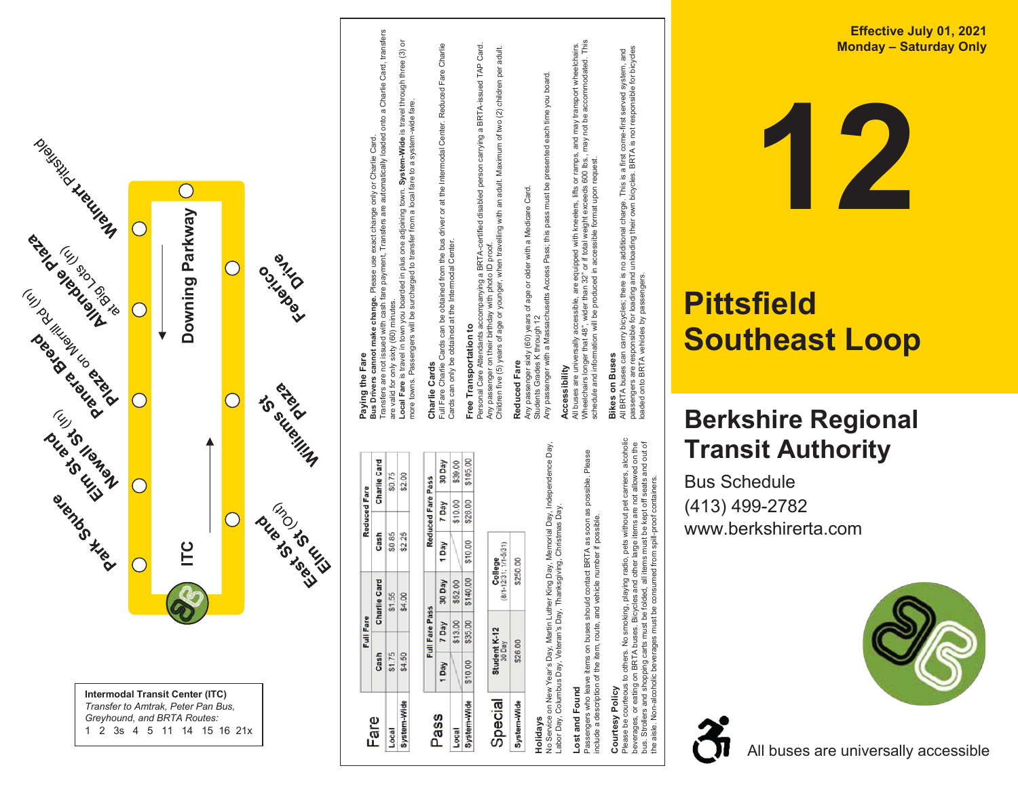

Labor Day, Columbus Day, Veteran's Day, Thanksgiving, Christmas Day.

## Lost and Found **Lost and Found**

Passengers who leave items on buses should contact BRTA as soon as possible. Please<br>include a description of the item, route, and vehicle number if possible. Passengers who leave items on buses should contact BRTA as soon as possible. Please include a description of the item, route, and vehicle number if possible.

## Courtesy Policy **Courtesy Policy**

Please be courteous to others. No smoking, playing radio, pets without pet carriers, alcoholic<br>beverages, or eating on BRTA buses. Bicycles and other large items are not allowed on the<br>bus. Strollers and shopping carts mus Please be courteous to others. No smoking, playing radio, pets without pet carriers, alcoholic bus. Strollers and shopping carts must be folded, all items must be kept off seats and out of beverages, or eating on BRTA buses. Bicycles and other large items are not allowed on the the aisle. Non-alcoholic beverages must be consumed from spill-proof containers.

A l l b u s e s are u nivers a l ly acc essible



# **Southeast Loop**

### **Berkshire Regional T ransit Au t hority**

Bu s S c hedule (413) 4 9 9 -2782 www.berkshirerta.com

## **Accessibility**

Wheelchairs longer that 48", wider than 32" or if total weight exceeds 600 lbs., may not be accommodated. This , and may transport wheelchairs.<br>may not be accommodated. This All buses are universally accessible, are equipped with kneelers, lifts or ramps, and may transport wheelchairs. Accessibility<br>All buses are universally accessible, are equipped with kneelers, lifts or ramps,<br>Wheelchairs longer that 48", wider than 32" or if total weight exceeds 600 lbs., r<br>schedule and information will be produced i schedule and information will be produced in accessible format upon request.

# **Bikes on Buses**

passengers are responsible for loading and unloading their own bicycles. BRTA is not responsible for bicycles **Bikes on Buses**<br>All BRTA buses can carry bicycles; there is no additional charge. This is a first come-first served system, and<br>passengers are responsible for loading and unloading their own bicycles. BRTA is not responsi All BRTA buses can carry bicycles; there is no additional charge. This is a first come-first served system, and loaded onto BRTA vehicles by passengers.